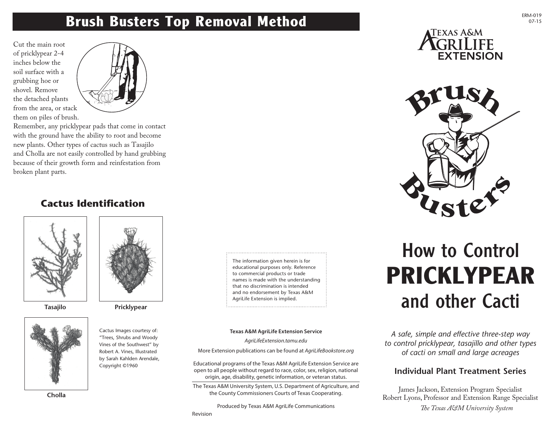### **Brush Busters Top Removal Method**

Cut the main root of pricklypear 2-4 inches below the soil surface with a grubbing hoe or shovel. Remove the detached plants from the area, or stack them on piles of brush.



Remember, any pricklypear pads that come in contact with the ground have the ability to root and become new plants. Other types of cactus such as Tasajilo and Cholla are not easily controlled by hand grubbing because of their growth form and reinfestation from broken plant parts.

### **Cactus Identification**







**Tasajilo Pricklypear**

Cactus Images courtesy of: "Trees, Shrubs and Woody Vines of the Southwest" by Robert A. Vines, Illustrated by Sarah Kahlden Arendale, Copyright ©1960

**Cholla**

The information given herein is for educational purposes only. Reference to commercial products or trade names is made with the understanding that no discrimination is intended and no endorsement by Texas A&M AgriLife Extension is implied.

#### **Texas A&M AgriLife Extension Service**

*AgriLifeExtension.tamu.edu*

More Extension publications can be found at *AgriLifeBookstore.org*

Educational programs of the Texas A&M AgriLife Extension Service are open to all people without regard to race, color, sex, religion, national origin, age, disability, genetic information, or veteran status.

The Texas A&M University System, U.S. Department of Agriculture, and the County Commissioners Courts of Texas Cooperating.

Produced by Texas A&M AgriLife Communications





# How to Control **PRICKLYPEAR** and other Cacti

*A safe, simple and effective three-step way to control pricklypear, tasajillo and other types of cacti on small and large acreages*

### **Individual Plant Treatment Series**

James Jackson, Extension Program Specialist Robert Lyons, Professor and Extension Range Specialist *The Texas A&M University System*